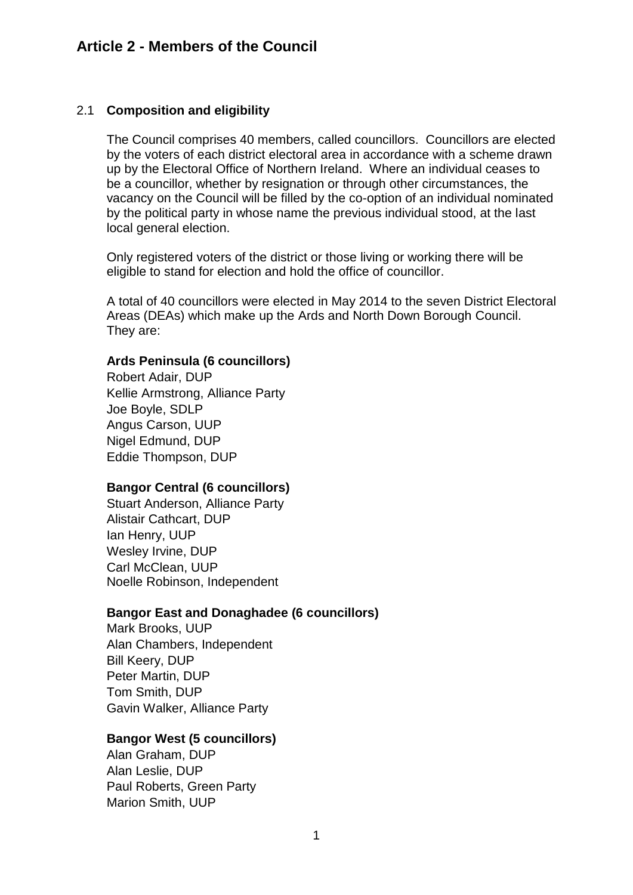## 2.1 **Composition and eligibility**

The Council comprises 40 members, called councillors. Councillors are elected by the voters of each district electoral area in accordance with a scheme drawn up by the Electoral Office of Northern Ireland. Where an individual ceases to be a councillor, whether by resignation or through other circumstances, the vacancy on the Council will be filled by the co-option of an individual nominated by the political party in whose name the previous individual stood, at the last local general election.

Only registered voters of the district or those living or working there will be eligible to stand for election and hold the office of councillor.

A total of 40 councillors were elected in May 2014 to the seven District Electoral Areas (DEAs) which make up the Ards and North Down Borough Council. They are:

#### **Ards Peninsula (6 councillors)**

Robert Adair, DUP Kellie Armstrong, Alliance Party Joe Boyle, SDLP Angus Carson, UUP Nigel Edmund, DUP Eddie Thompson, DUP

#### **Bangor Central (6 councillors)**

Stuart Anderson, Alliance Party Alistair Cathcart, DUP Ian Henry, UUP Wesley Irvine, DUP Carl McClean, UUP Noelle Robinson, Independent

# **Bangor East and Donaghadee (6 councillors)**

Mark Brooks, UUP Alan Chambers, Independent Bill Keery, DUP Peter Martin, DUP Tom Smith, DUP Gavin Walker, Alliance Party

# **Bangor West (5 councillors)**

Alan Graham, DUP Alan Leslie, DUP Paul Roberts, Green Party Marion Smith, UUP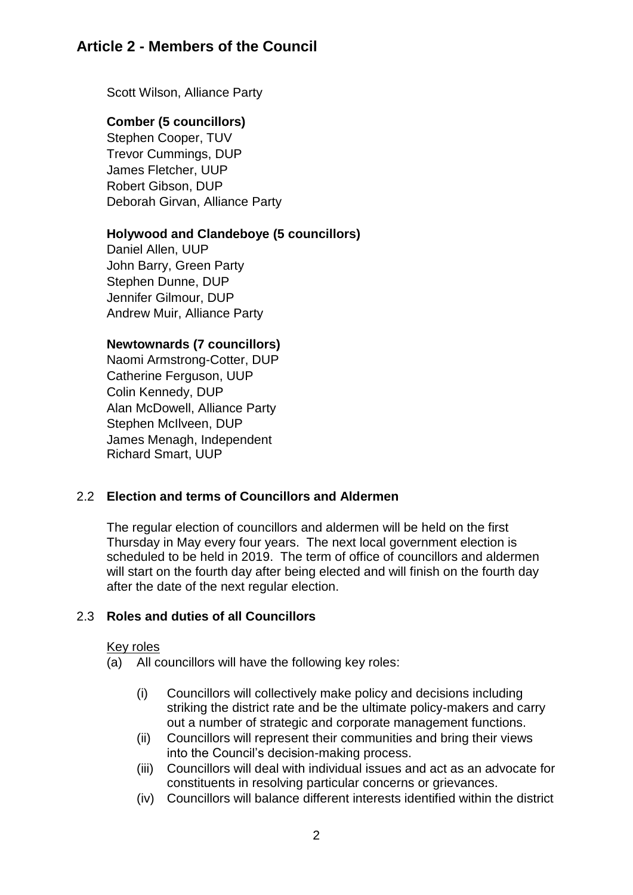# **Article 2 - Members of the Council**

Scott Wilson, Alliance Party

## **Comber (5 councillors)**

Stephen Cooper, TUV Trevor Cummings, DUP James Fletcher, UUP Robert Gibson, DUP Deborah Girvan, Alliance Party

## **Holywood and Clandeboye (5 councillors)**

Daniel Allen, UUP John Barry, Green Party Stephen Dunne, DUP Jennifer Gilmour, DUP Andrew Muir, Alliance Party

## **Newtownards (7 councillors)**

Naomi Armstrong-Cotter, DUP Catherine Ferguson, UUP Colin Kennedy, DUP Alan McDowell, Alliance Party Stephen McIlveen, DUP James Menagh, Independent Richard Smart, UUP

# 2.2 **Election and terms of Councillors and Aldermen**

The regular election of councillors and aldermen will be held on the first Thursday in May every four years. The next local government election is scheduled to be held in 2019. The term of office of councillors and aldermen will start on the fourth day after being elected and will finish on the fourth day after the date of the next regular election.

# 2.3 **Roles and duties of all Councillors**

#### Key roles

- (a) All councillors will have the following key roles:
	- (i) Councillors will collectively make policy and decisions including striking the district rate and be the ultimate policy-makers and carry out a number of strategic and corporate management functions.
	- (ii) Councillors will represent their communities and bring their views into the Council's decision-making process.
	- (iii) Councillors will deal with individual issues and act as an advocate for constituents in resolving particular concerns or grievances.
	- (iv) Councillors will balance different interests identified within the district